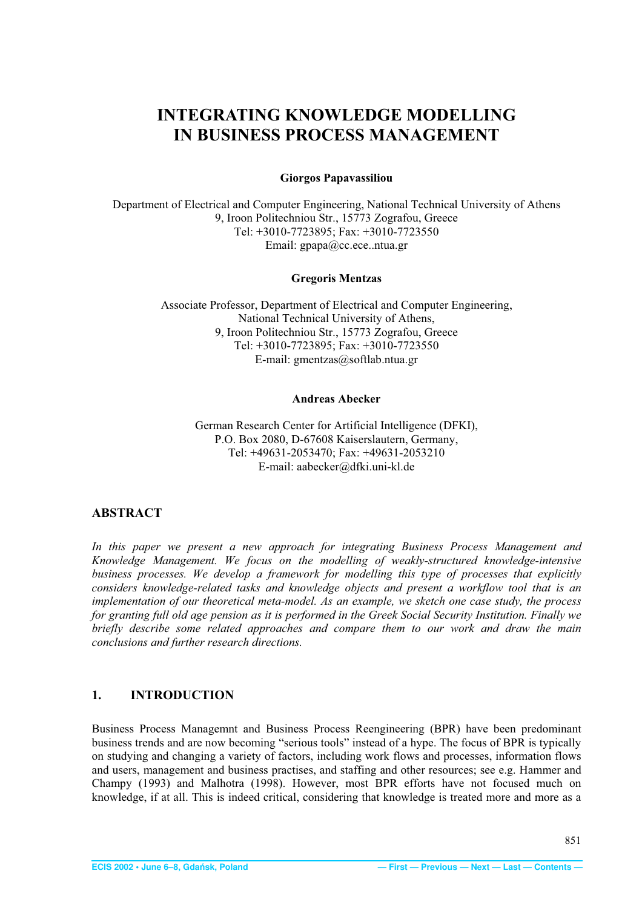# <span id="page-0-0"></span>**INTEGRATING KNOWLEDGE MODELLING IN BUSINESS PROCESS MANAGEMENT**

#### **Giorgos Papavassiliou**

Department of Electrical and Computer Engineering, National Technical University of Athens 9, Iroon Politechniou Str., 15773 Zografou, Greece Tel: +3010-7723895; Fax: +3010-7723550 Email: gpapa@cc.ece..ntua.gr

#### **Gregoris Mentzas**

Associate Professor, Department of Electrical and Computer Engineering, National Technical University of Athens, 9, Iroon Politechniou Str., 15773 Zografou, Greece Tel: +3010-7723895; Fax: +3010-7723550 E-mail: gmentzas@softlab.ntua.gr

#### **Andreas Abecker**

German Research Center for Artificial Intelligence (DFKI), P.O. Box 2080, D-67608 Kaiserslautern, Germany, Tel: +49631-2053470; Fax: +49631-2053210 E-mail: aabecker@dfki.uni-kl.de

## **ABSTRACT**

*In this paper we present a new approach for integrating Business Process Management and Knowledge Management. We focus on the modelling of weakly-structured knowledge-intensive business processes. We develop a framework for modelling this type of processes that explicitly considers knowledge-related tasks and knowledge objects and present a workflow tool that is an implementation of our theoretical meta-model. As an example, we sketch one case study, the process for granting full old age pension as it is performed in the Greek Social Security Institution. Finally we briefly describe some related approaches and compare them to our work and draw the main conclusions and further research directions.* 

# **1. INTRODUCTION**

Business Process Managemnt and Business Process Reengineering (BPR) have been predominant business trends and are now becoming "serious tools" instead of a hype. The focus of BPR is typically on studying and changing a variety of factors, including work flows and processes, information flows and users, management and business practises, and staffing and other resources; see e.g. Hammer and Champy (1993) and Malhotra (1998). However, most BPR efforts have not focused much on knowledge, if at all. This is indeed critical, considering that knowledge is treated more and more as a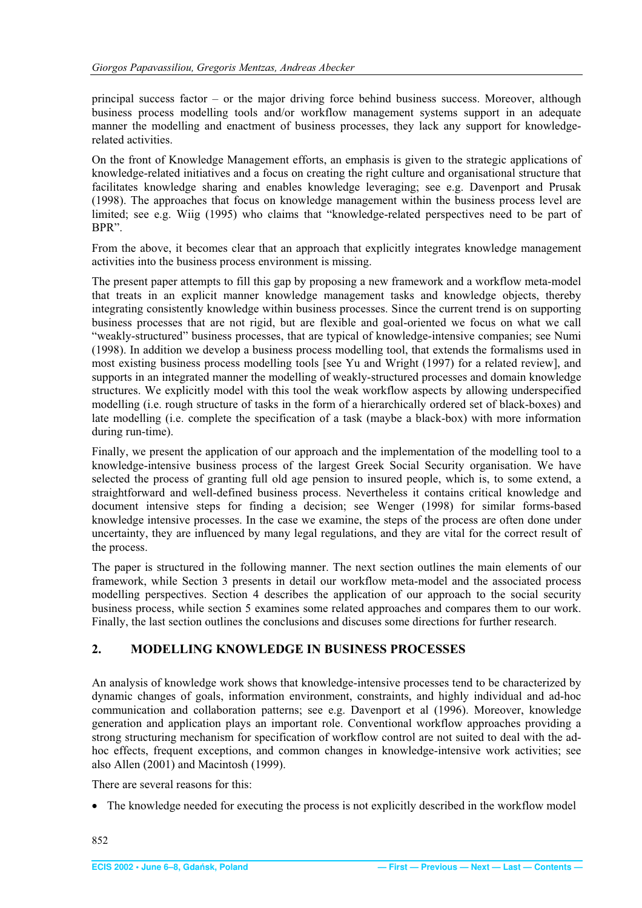<span id="page-1-0"></span>principal success factor – or the major driving force behind business success. Moreover, although business process modelling tools and/or workflow management systems support in an adequate manner the modelling and enactment of business processes, they lack any support for knowledgerelated activities.

On the front of Knowledge Management efforts, an emphasis is given to the strategic applications of knowledge-related initiatives and a focus on creating the right culture and organisational structure that facilitates knowledge sharing and enables knowledge leveraging; see e.g. Davenport and Prusak (1998). The approaches that focus on knowledge management within the business process level are limited; see e.g. Wiig (1995) who claims that "knowledge-related perspectives need to be part of BPR".

From the above, it becomes clear that an approach that explicitly integrates knowledge management activities into the business process environment is missing.

The present paper attempts to fill this gap by proposing a new framework and a workflow meta-model that treats in an explicit manner knowledge management tasks and knowledge objects, thereby integrating consistently knowledge within business processes. Since the current trend is on supporting business processes that are not rigid, but are flexible and goal-oriented we focus on what we call "weakly-structured" business processes, that are typical of knowledge-intensive companies; see Numi (1998). In addition we develop a business process modelling tool, that extends the formalisms used in most existing business process modelling tools [see Yu and Wright (1997) for a related review], and supports in an integrated manner the modelling of weakly-structured processes and domain knowledge structures. We explicitly model with this tool the weak workflow aspects by allowing underspecified modelling (i.e. rough structure of tasks in the form of a hierarchically ordered set of black-boxes) and late modelling (i.e. complete the specification of a task (maybe a black-box) with more information during run-time).

Finally, we present the application of our approach and the implementation of the modelling tool to a knowledge-intensive business process of the largest Greek Social Security organisation. We have selected the process of granting full old age pension to insured people, which is, to some extend, a straightforward and well-defined business process. Nevertheless it contains critical knowledge and document intensive steps for finding a decision; see Wenger (1998) for similar forms-based knowledge intensive processes. In the case we examine, the steps of the process are often done under uncertainty, they are influenced by many legal regulations, and they are vital for the correct result of the process.

The paper is structured in the following manner. The next section outlines the main elements of our framework, while Section 3 presents in detail our workflow meta-model and the associated process modelling perspectives. Section 4 describes the application of our approach to the social security business process, while section 5 examines some related approaches and compares them to our work. Finally, the last section outlines the conclusions and discuses some directions for further research.

# **2. MODELLING KNOWLEDGE IN BUSINESS PROCESSES**

An analysis of knowledge work shows that knowledge-intensive processes tend to be characterized by dynamic changes of goals, information environment, constraints, and highly individual and ad-hoc communication and collaboration patterns; see e.g. Davenport et al (1996). Moreover, knowledge generation and application plays an important role. Conventional workflow approaches providing a strong structuring mechanism for specification of workflow control are not suited to deal with the adhoc effects, frequent exceptions, and common changes in knowledge-intensive work activities; see also Allen (2001) and Macintosh (1999).

There are several reasons for this:

• The knowledge needed for executing the process is not explicitly described in the workflow model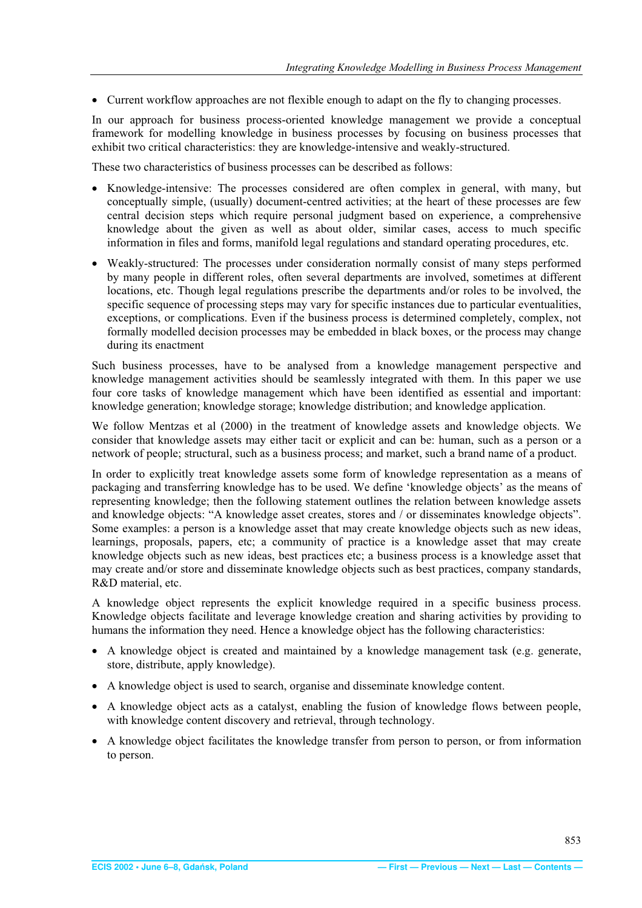<span id="page-2-0"></span>• Current workflow approaches are not flexible enough to adapt on the fly to changing processes.

In our approach for business process-oriented knowledge management we provide a conceptual framework for modelling knowledge in business processes by focusing on business processes that exhibit two critical characteristics: they are knowledge-intensive and weakly-structured.

These two characteristics of business processes can be described as follows:

- Knowledge-intensive: The processes considered are often complex in general, with many, but conceptually simple, (usually) document-centred activities; at the heart of these processes are few central decision steps which require personal judgment based on experience, a comprehensive knowledge about the given as well as about older, similar cases, access to much specific information in files and forms, manifold legal regulations and standard operating procedures, etc.
- Weakly-structured: The processes under consideration normally consist of many steps performed by many people in different roles, often several departments are involved, sometimes at different locations, etc. Though legal regulations prescribe the departments and/or roles to be involved, the specific sequence of processing steps may vary for specific instances due to particular eventualities, exceptions, or complications. Even if the business process is determined completely, complex, not formally modelled decision processes may be embedded in black boxes, or the process may change during its enactment

Such business processes, have to be analysed from a knowledge management perspective and knowledge management activities should be seamlessly integrated with them. In this paper we use four core tasks of knowledge management which have been identified as essential and important: knowledge generation; knowledge storage; knowledge distribution; and knowledge application.

We follow Mentzas et al (2000) in the treatment of knowledge assets and knowledge objects. We consider that knowledge assets may either tacit or explicit and can be: human, such as a person or a network of people; structural, such as a business process; and market, such a brand name of a product.

In order to explicitly treat knowledge assets some form of knowledge representation as a means of packaging and transferring knowledge has to be used. We define 'knowledge objects' as the means of representing knowledge; then the following statement outlines the relation between knowledge assets and knowledge objects: "A knowledge asset creates, stores and / or disseminates knowledge objects". Some examples: a person is a knowledge asset that may create knowledge objects such as new ideas, learnings, proposals, papers, etc; a community of practice is a knowledge asset that may create knowledge objects such as new ideas, best practices etc; a business process is a knowledge asset that may create and/or store and disseminate knowledge objects such as best practices, company standards, R&D material, etc.

A knowledge object represents the explicit knowledge required in a specific business process. Knowledge objects facilitate and leverage knowledge creation and sharing activities by providing to humans the information they need. Hence a knowledge object has the following characteristics:

- $\bullet$  A knowledge object is created and maintained by a knowledge management task (e.g. generate, store, distribute, apply knowledge).
- A knowledge object is used to search, organise and disseminate knowledge content.
- A knowledge object acts as a catalyst, enabling the fusion of knowledge flows between people, with knowledge content discovery and retrieval, through technology.
- A knowledge object facilitates the knowledge transfer from person to person, or from information to person.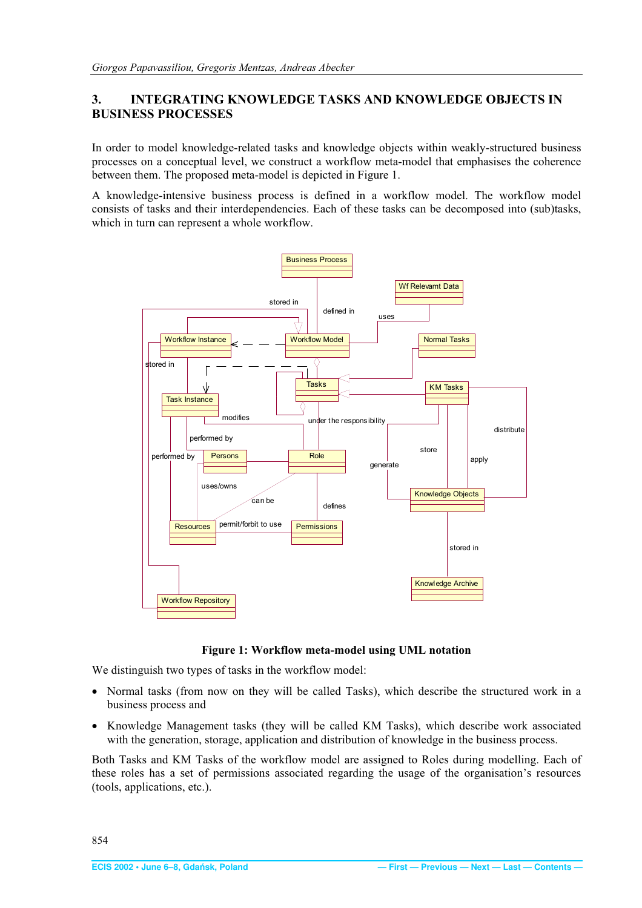# <span id="page-3-0"></span>**3. INTEGRATING KNOWLEDGE TASKS AND KNOWLEDGE OBJECTS IN BUSINESS PROCESSES**

In order to model knowledge-related tasks and knowledge objects within weakly-structured business processes on a conceptual level, we construct a workflow meta-model that emphasises the coherence between them. The proposed meta-model is depicted in Figure 1.

A knowledge-intensive business process is defined in a workflow model. The workflow model consists of tasks and their interdependencies. Each of these tasks can be decomposed into (sub)tasks, which in turn can represent a whole workflow.



**Figure 1: Workflow meta-model using UML notation** 

We distinguish two types of tasks in the workflow model:

- Normal tasks (from now on they will be called Tasks), which describe the structured work in a business process and
- Knowledge Management tasks (they will be called KM Tasks), which describe work associated with the generation, storage, application and distribution of knowledge in the business process.

Both Tasks and KM Tasks of the workflow model are assigned to Roles during modelling. Each of these roles has a set of permissions associated regarding the usage of the organisation's resources (tools, applications, etc.).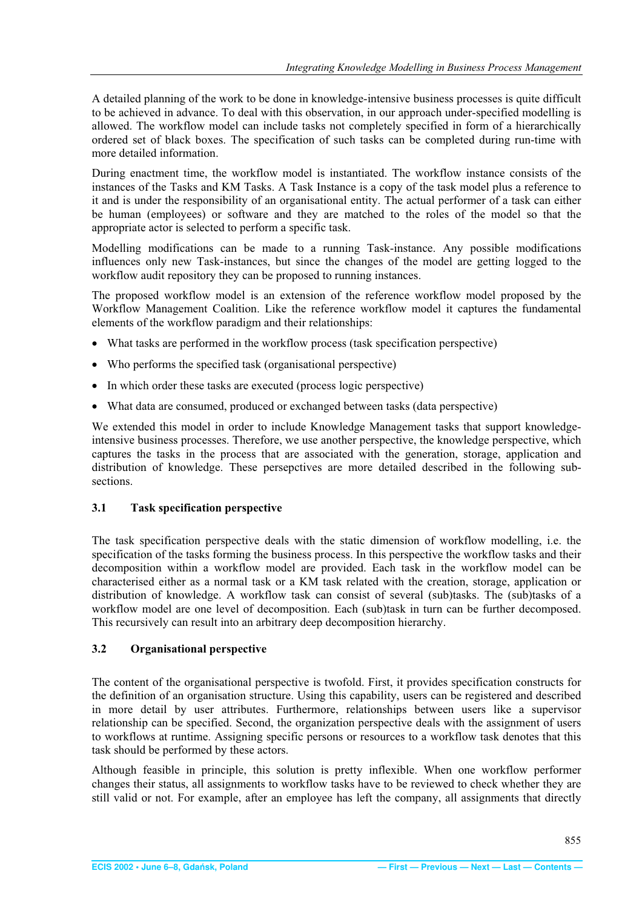<span id="page-4-0"></span>A detailed planning of the work to be done in knowledge-intensive business processes is quite difficult to be achieved in advance. To deal with this observation, in our approach under-specified modelling is allowed. The workflow model can include tasks not completely specified in form of a hierarchically ordered set of black boxes. The specification of such tasks can be completed during run-time with more detailed information.

During enactment time, the workflow model is instantiated. The workflow instance consists of the instances of the Tasks and KM Tasks. A Task Instance is a copy of the task model plus a reference to it and is under the responsibility of an organisational entity. The actual performer of a task can either be human (employees) or software and they are matched to the roles of the model so that the appropriate actor is selected to perform a specific task.

Modelling modifications can be made to a running Task-instance. Any possible modifications influences only new Task-instances, but since the changes of the model are getting logged to the workflow audit repository they can be proposed to running instances.

The proposed workflow model is an extension of the reference workflow model proposed by the Workflow Management Coalition. Like the reference workflow model it captures the fundamental elements of the workflow paradigm and their relationships:

- What tasks are performed in the workflow process (task specification perspective)
- Who performs the specified task (organisational perspective)
- $\bullet$  In which order these tasks are executed (process logic perspective)
- What data are consumed, produced or exchanged between tasks (data perspective)

We extended this model in order to include Knowledge Management tasks that support knowledgeintensive business processes. Therefore, we use another perspective, the knowledge perspective, which captures the tasks in the process that are associated with the generation, storage, application and distribution of knowledge. These persepctives are more detailed described in the following subsections.

## **3.1 Task specification perspective**

The task specification perspective deals with the static dimension of workflow modelling, i.e. the specification of the tasks forming the business process. In this perspective the workflow tasks and their decomposition within a workflow model are provided. Each task in the workflow model can be characterised either as a normal task or a KM task related with the creation, storage, application or distribution of knowledge. A workflow task can consist of several (sub)tasks. The (sub)tasks of a workflow model are one level of decomposition. Each (sub)task in turn can be further decomposed. This recursively can result into an arbitrary deep decomposition hierarchy.

## **3.2 Organisational perspective**

The content of the organisational perspective is twofold. First, it provides specification constructs for the definition of an organisation structure. Using this capability, users can be registered and described in more detail by user attributes. Furthermore, relationships between users like a supervisor relationship can be specified. Second, the organization perspective deals with the assignment of users to workflows at runtime. Assigning specific persons or resources to a workflow task denotes that this task should be performed by these actors.

Although feasible in principle, this solution is pretty inflexible. When one workflow performer changes their status, all assignments to workflow tasks have to be reviewed to check whether they are still valid or not. For example, after an employee has left the company, all assignments that directly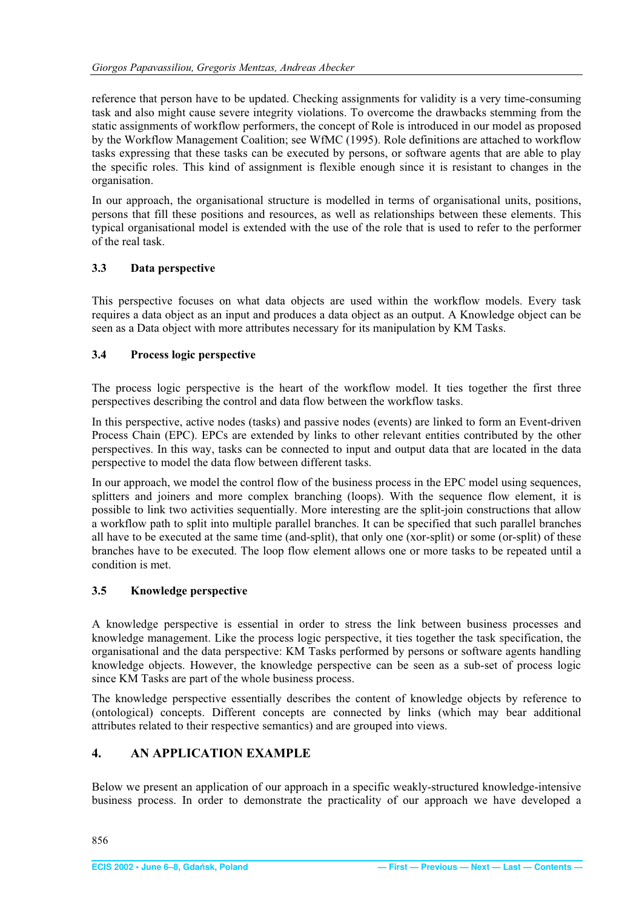<span id="page-5-0"></span>reference that person have to be updated. Checking assignments for validity is a very time-consuming task and also might cause severe integrity violations. To overcome the drawbacks stemming from the static assignments of workflow performers, the concept of Role is introduced in our model as proposed by the Workflow Management Coalition; see WfMC (1995). Role definitions are attached to workflow tasks expressing that these tasks can be executed by persons, or software agents that are able to play the specific roles. This kind of assignment is flexible enough since it is resistant to changes in the organisation.

In our approach, the organisational structure is modelled in terms of organisational units, positions, persons that fill these positions and resources, as well as relationships between these elements. This typical organisational model is extended with the use of the role that is used to refer to the performer of the real task.

## **3.3 Data perspective**

This perspective focuses on what data objects are used within the workflow models. Every task requires a data object as an input and produces a data object as an output. A Knowledge object can be seen as a Data object with more attributes necessary for its manipulation by KM Tasks.

#### **3.4 Process logic perspective**

The process logic perspective is the heart of the workflow model. It ties together the first three perspectives describing the control and data flow between the workflow tasks.

In this perspective, active nodes (tasks) and passive nodes (events) are linked to form an Event-driven Process Chain (EPC). EPCs are extended by links to other relevant entities contributed by the other perspectives. In this way, tasks can be connected to input and output data that are located in the data perspective to model the data flow between different tasks.

In our approach, we model the control flow of the business process in the EPC model using sequences, splitters and joiners and more complex branching (loops). With the sequence flow element, it is possible to link two activities sequentially. More interesting are the split-join constructions that allow a workflow path to split into multiple parallel branches. It can be specified that such parallel branches all have to be executed at the same time (and-split), that only one (xor-split) or some (or-split) of these branches have to be executed. The loop flow element allows one or more tasks to be repeated until a condition is met.

#### **3.5 Knowledge perspective**

A knowledge perspective is essential in order to stress the link between business processes and knowledge management. Like the process logic perspective, it ties together the task specification, the organisational and the data perspective: KM Tasks performed by persons or software agents handling knowledge objects. However, the knowledge perspective can be seen as a sub-set of process logic since KM Tasks are part of the whole business process.

The knowledge perspective essentially describes the content of knowledge objects by reference to (ontological) concepts. Different concepts are connected by links (which may bear additional attributes related to their respective semantics) and are grouped into views.

# **4. AN APPLICATION EXAMPLE**

Below we present an application of our approach in a specific weakly-structured knowledge-intensive business process. In order to demonstrate the practicality of our approach we have developed a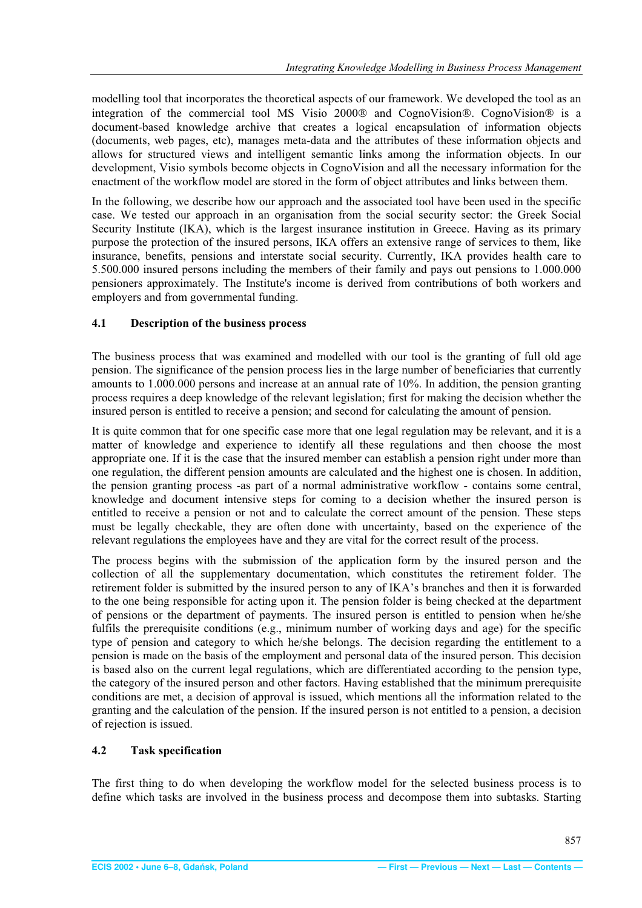<span id="page-6-0"></span>modelling tool that incorporates the theoretical aspects of our framework. We developed the tool as an integration of the commercial tool MS Visio 2000 $\otimes$  and CognoVision $\otimes$ . CognoVision $\otimes$  is a document-based knowledge archive that creates a logical encapsulation of information objects (documents, web pages, etc), manages meta-data and the attributes of these information objects and allows for structured views and intelligent semantic links among the information objects. In our development, Visio symbols become objects in CognoVision and all the necessary information for the enactment of the workflow model are stored in the form of object attributes and links between them.

In the following, we describe how our approach and the associated tool have been used in the specific case. We tested our approach in an organisation from the social security sector: the Greek Social Security Institute (IKA), which is the largest insurance institution in Greece. Having as its primary purpose the protection of the insured persons, IKA offers an extensive range of services to them, like insurance, benefits, pensions and interstate social security. Currently, IKA provides health care to 5.500.000 insured persons including the members of their family and pays out pensions to 1.000.000 pensioners approximately. The Institute's income is derived from contributions of both workers and employers and from governmental funding.

## **4.1 Description of the business process**

The business process that was examined and modelled with our tool is the granting of full old age pension. The significance of the pension process lies in the large number of beneficiaries that currently amounts to 1.000.000 persons and increase at an annual rate of 10%. In addition, the pension granting process requires a deep knowledge of the relevant legislation; first for making the decision whether the insured person is entitled to receive a pension; and second for calculating the amount of pension.

It is quite common that for one specific case more that one legal regulation may be relevant, and it is a matter of knowledge and experience to identify all these regulations and then choose the most appropriate one. If it is the case that the insured member can establish a pension right under more than one regulation, the different pension amounts are calculated and the highest one is chosen. In addition, the pension granting process -as part of a normal administrative workflow - contains some central, knowledge and document intensive steps for coming to a decision whether the insured person is entitled to receive a pension or not and to calculate the correct amount of the pension. These steps must be legally checkable, they are often done with uncertainty, based on the experience of the relevant regulations the employees have and they are vital for the correct result of the process.

The process begins with the submission of the application form by the insured person and the collection of all the supplementary documentation, which constitutes the retirement folder. The retirement folder is submitted by the insured person to any of IKA's branches and then it is forwarded to the one being responsible for acting upon it. The pension folder is being checked at the department of pensions or the department of payments. The insured person is entitled to pension when he/she fulfils the prerequisite conditions (e.g., minimum number of working days and age) for the specific type of pension and category to which he/she belongs. The decision regarding the entitlement to a pension is made on the basis of the employment and personal data of the insured person. This decision is based also on the current legal regulations, which are differentiated according to the pension type, the category of the insured person and other factors. Having established that the minimum prerequisite conditions are met, a decision of approval is issued, which mentions all the information related to the granting and the calculation of the pension. If the insured person is not entitled to a pension, a decision of rejection is issued.

#### **4.2 Task specification**

The first thing to do when developing the workflow model for the selected business process is to define which tasks are involved in the business process and decompose them into subtasks. Starting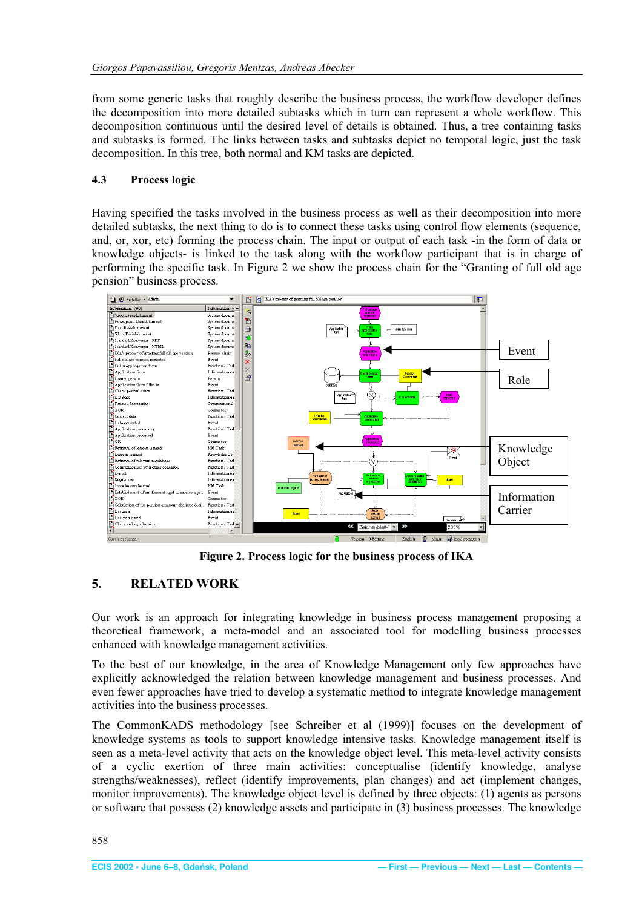<span id="page-7-0"></span>from some generic tasks that roughly describe the business process, the workflow developer defines the decomposition into more detailed subtasks which in turn can represent a whole workflow. This decomposition continuous until the desired level of details is obtained. Thus, a tree containing tasks and subtasks is formed. The links between tasks and subtasks depict no temporal logic, just the task decomposition. In this tree, both normal and KM tasks are depicted.

#### **4.3 Process logic**

Having specified the tasks involved in the business process as well as their decomposition into more detailed subtasks, the next thing to do is to connect these tasks using control flow elements (sequence, and, or, xor, etc) forming the process chain. The input or output of each task -in the form of data or knowledge objects- is linked to the task along with the workflow participant that is in charge of performing the specific task. In Figure 2 we show the process chain for the "Granting of full old age pension" business process.



**Figure 2. Process logic for the business process of IKA** 

# **5. RELATED WORK**

Our work is an approach for integrating knowledge in business process management proposing a theoretical framework, a meta-model and an associated tool for modelling business processes enhanced with knowledge management activities.

To the best of our knowledge, in the area of Knowledge Management only few approaches have explicitly acknowledged the relation between knowledge management and business processes. And even fewer approaches have tried to develop a systematic method to integrate knowledge management activities into the business processes.

The CommonKADS methodology [see Schreiber et al (1999)] focuses on the development of knowledge systems as tools to support knowledge intensive tasks. Knowledge management itself is seen as a meta-level activity that acts on the knowledge object level. This meta-level activity consists of a cyclic exertion of three main activities: conceptualise (identify knowledge, analyse strengths/weaknesses), reflect (identify improvements, plan changes) and act (implement changes, monitor improvements). The knowledge object level is defined by three objects: (1) agents as persons or software that possess (2) knowledge assets and participate in (3) business processes. The knowledge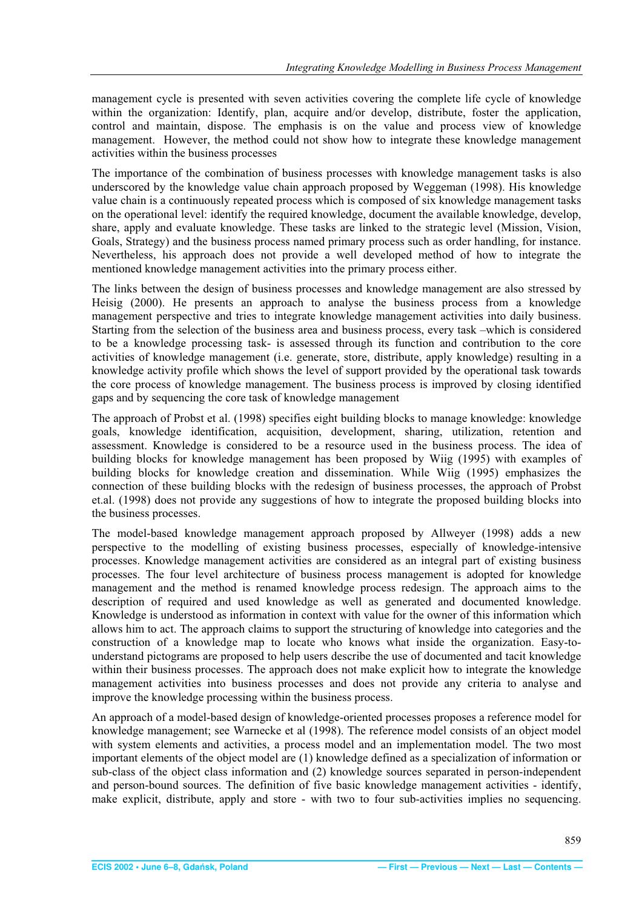<span id="page-8-0"></span>management cycle is presented with seven activities covering the complete life cycle of knowledge within the organization: Identify, plan, acquire and/or develop, distribute, foster the application, control and maintain, dispose. The emphasis is on the value and process view of knowledge management. However, the method could not show how to integrate these knowledge management activities within the business processes

The importance of the combination of business processes with knowledge management tasks is also underscored by the knowledge value chain approach proposed by Weggeman (1998). His knowledge value chain is a continuously repeated process which is composed of six knowledge management tasks on the operational level: identify the required knowledge, document the available knowledge, develop, share, apply and evaluate knowledge. These tasks are linked to the strategic level (Mission, Vision, Goals, Strategy) and the business process named primary process such as order handling, for instance. Nevertheless, his approach does not provide a well developed method of how to integrate the mentioned knowledge management activities into the primary process either.

The links between the design of business processes and knowledge management are also stressed by Heisig (2000). He presents an approach to analyse the business process from a knowledge management perspective and tries to integrate knowledge management activities into daily business. Starting from the selection of the business area and business process, every task –which is considered to be a knowledge processing task- is assessed through its function and contribution to the core activities of knowledge management (i.e. generate, store, distribute, apply knowledge) resulting in a knowledge activity profile which shows the level of support provided by the operational task towards the core process of knowledge management. The business process is improved by closing identified gaps and by sequencing the core task of knowledge management

The approach of Probst et al. (1998) specifies eight building blocks to manage knowledge: knowledge goals, knowledge identification, acquisition, development, sharing, utilization, retention and assessment. Knowledge is considered to be a resource used in the business process. The idea of building blocks for knowledge management has been proposed by Wiig (1995) with examples of building blocks for knowledge creation and dissemination. While Wiig (1995) emphasizes the connection of these building blocks with the redesign of business processes, the approach of Probst et.al. (1998) does not provide any suggestions of how to integrate the proposed building blocks into the business processes.

The model-based knowledge management approach proposed by Allweyer (1998) adds a new perspective to the modelling of existing business processes, especially of knowledge-intensive processes. Knowledge management activities are considered as an integral part of existing business processes. The four level architecture of business process management is adopted for knowledge management and the method is renamed knowledge process redesign. The approach aims to the description of required and used knowledge as well as generated and documented knowledge. Knowledge is understood as information in context with value for the owner of this information which allows him to act. The approach claims to support the structuring of knowledge into categories and the construction of a knowledge map to locate who knows what inside the organization. Easy-tounderstand pictograms are proposed to help users describe the use of documented and tacit knowledge within their business processes. The approach does not make explicit how to integrate the knowledge management activities into business processes and does not provide any criteria to analyse and improve the knowledge processing within the business process.

An approach of a model-based design of knowledge-oriented processes proposes a reference model for knowledge management; see Warnecke et al (1998). The reference model consists of an object model with system elements and activities, a process model and an implementation model. The two most important elements of the object model are (1) knowledge defined as a specialization of information or sub-class of the object class information and (2) knowledge sources separated in person-independent and person-bound sources. The definition of five basic knowledge management activities - identify, make explicit, distribute, apply and store - with two to four sub-activities implies no sequencing.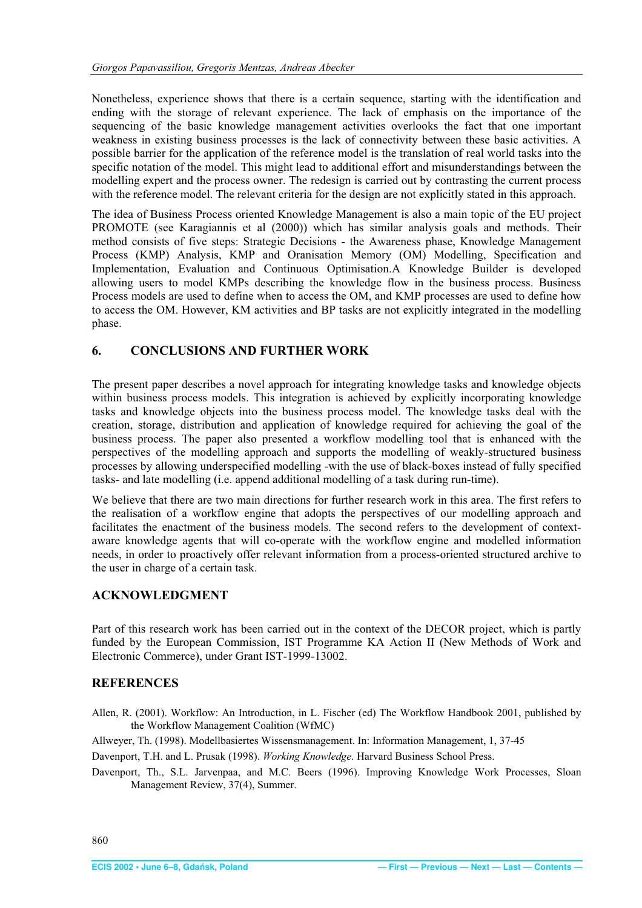<span id="page-9-0"></span>Nonetheless, experience shows that there is a certain sequence, starting with the identification and ending with the storage of relevant experience. The lack of emphasis on the importance of the sequencing of the basic knowledge management activities overlooks the fact that one important weakness in existing business processes is the lack of connectivity between these basic activities. A possible barrier for the application of the reference model is the translation of real world tasks into the specific notation of the model. This might lead to additional effort and misunderstandings between the modelling expert and the process owner. The redesign is carried out by contrasting the current process with the reference model. The relevant criteria for the design are not explicitly stated in this approach.

The idea of Business Process oriented Knowledge Management is also a main topic of the EU project PROMOTE (see Karagiannis et al (2000)) which has similar analysis goals and methods. Their method consists of five steps: Strategic Decisions - the Awareness phase, Knowledge Management Process (KMP) Analysis, KMP and Oranisation Memory (OM) Modelling, Specification and Implementation, Evaluation and Continuous Optimisation.A Knowledge Builder is developed allowing users to model KMPs describing the knowledge flow in the business process. Business Process models are used to define when to access the OM, and KMP processes are used to define how to access the OM. However, KM activities and BP tasks are not explicitly integrated in the modelling phase.

# **6. CONCLUSIONS AND FURTHER WORK**

The present paper describes a novel approach for integrating knowledge tasks and knowledge objects within business process models. This integration is achieved by explicitly incorporating knowledge tasks and knowledge objects into the business process model. The knowledge tasks deal with the creation, storage, distribution and application of knowledge required for achieving the goal of the business process. The paper also presented a workflow modelling tool that is enhanced with the perspectives of the modelling approach and supports the modelling of weakly-structured business processes by allowing underspecified modelling -with the use of black-boxes instead of fully specified tasks- and late modelling (i.e. append additional modelling of a task during run-time).

We believe that there are two main directions for further research work in this area. The first refers to the realisation of a workflow engine that adopts the perspectives of our modelling approach and facilitates the enactment of the business models. The second refers to the development of contextaware knowledge agents that will co-operate with the workflow engine and modelled information needs, in order to proactively offer relevant information from a process-oriented structured archive to the user in charge of a certain task.

## **ACKNOWLEDGMENT**

Part of this research work has been carried out in the context of the DECOR project, which is partly funded by the European Commission, IST Programme KA Action II (New Methods of Work and Electronic Commerce), under Grant IST-1999-13002.

## **REFERENCES**

- Allen, R. (2001). Workflow: An Introduction, in L. Fischer (ed) The Workflow Handbook 2001, published by the Workflow Management Coalition (WfMC)
- Allweyer, Th. (1998). Modellbasiertes Wissensmanagement. In: Information Management, 1, 37-45
- Davenport, T.H. and L. Prusak (1998). *Working Knowledge*. Harvard Business School Press.
- Davenport, Th., S.L. Jarvenpaa, and M.C. Beers (1996). Improving Knowledge Work Processes, Sloan Management Review, 37(4), Summer.